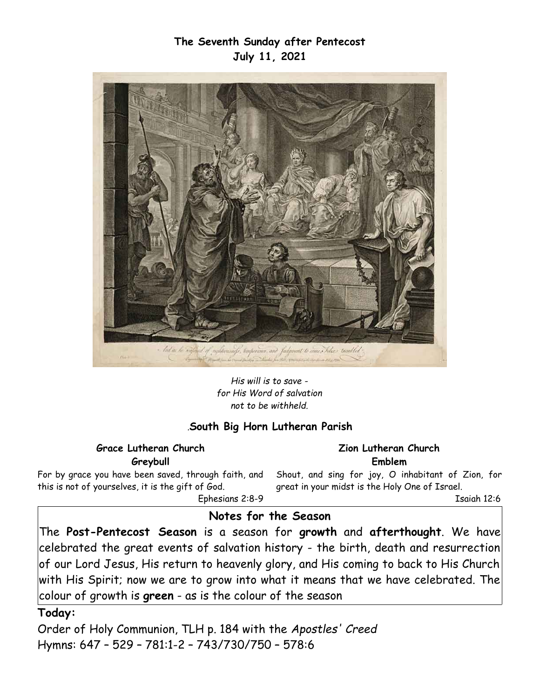## **The Seventh Sunday after Pentecost July 11, 2021**



*His will is to save for His Word of salvation not to be withheld.*

#### *.***South Big Horn Lutheran Parish**

**Grace Lutheran Church Greybull**

For by grace you have been saved, through faith, and this is not of yourselves, it is the gift of God. Ephesians 2:8-9

**Zion Lutheran Church Emblem**

Shout, and sing for joy, O inhabitant of Zion, for great in your midst is the Holy One of Israel.

Isaiah 12:6

# **Notes for the Season**

The **Post-Pentecost Season** is a season for **growth** and **afterthought**. We have  $|$ celebrated the great events of salvation history - the birth, death and resurrection $|$ of our Lord Jesus, His return to heavenly glory, and His coming to back to His Church with His Spirit; now we are to grow into what it means that we have celebrated. The colour of growth is **green** - as is the colour of the season

#### **Today:**

Order of Holy Communion, TLH p. 184 with the *Apostles' Creed*  Hymns: 647 – 529 – 781:1-2 – 743/730/750 – 578:6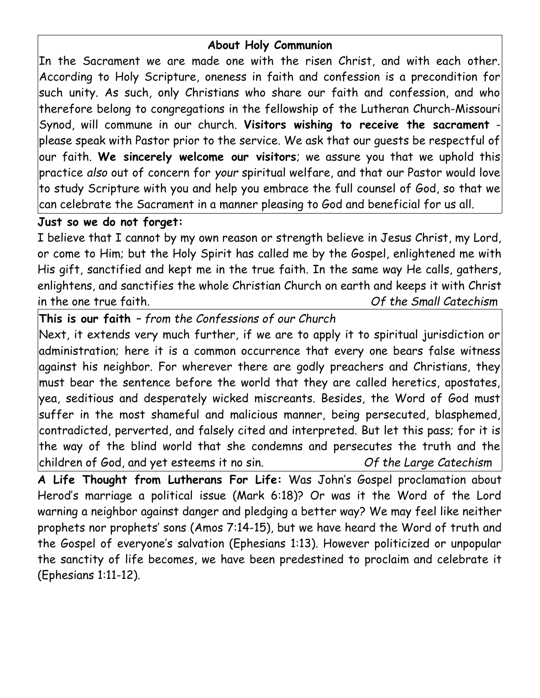## **About Holy Communion**

In the Sacrament we are made one with the risen Christ, and with each other. According to Holy Scripture, oneness in faith and confession is a precondition for such unity. As such, only Christians who share our faith and confession, and who therefore belong to congregations in the fellowship of the Lutheran Church-Missouri Synod, will commune in our church. **Visitors wishing to receive the sacrament** please speak with Pastor prior to the service. We ask that our guests be respectful of our faith. **We sincerely welcome our visitors**; we assure you that we uphold this practice *also* out of concern for *your* spiritual welfare, and that our Pastor would love to study Scripture with you and help you embrace the full counsel of God, so that we can celebrate the Sacrament in a manner pleasing to God and beneficial for us all.

## **Just so we do not forget:**

I believe that I cannot by my own reason or strength believe in Jesus Christ, my Lord, or come to Him; but the Holy Spirit has called me by the Gospel, enlightened me with His gift, sanctified and kept me in the true faith. In the same way He calls, gathers, enlightens, and sanctifies the whole Christian Church on earth and keeps it with Christ in the one true faith. *Of the Small Catechism*

**This is our faith** *– from the Confessions of our Church*

Next, it extends very much further, if we are to apply it to spiritual jurisdiction or administration; here it is a common occurrence that every one bears false witness against his neighbor. For wherever there are godly preachers and Christians, they must bear the sentence before the world that they are called heretics, apostates, yea, seditious and desperately wicked miscreants. Besides, the Word of God must suffer in the most shameful and malicious manner, being persecuted, blasphemed, contradicted, perverted, and falsely cited and interpreted. But let this pass; for it is the way of the blind world that she condemns and persecutes the truth and the children of God, and yet esteems it no sin. *Of the Large Catechism*

**A Life Thought from Lutherans For Life:** Was John's Gospel proclamation about Herod's marriage a political issue (Mark 6:18)? Or was it the Word of the Lord warning a neighbor against danger and pledging a better way? We may feel like neither prophets nor prophets' sons (Amos 7:14-15), but we have heard the Word of truth and the Gospel of everyone's salvation (Ephesians 1:13). However politicized or unpopular the sanctity of life becomes, we have been predestined to proclaim and celebrate it (Ephesians 1:11-12).